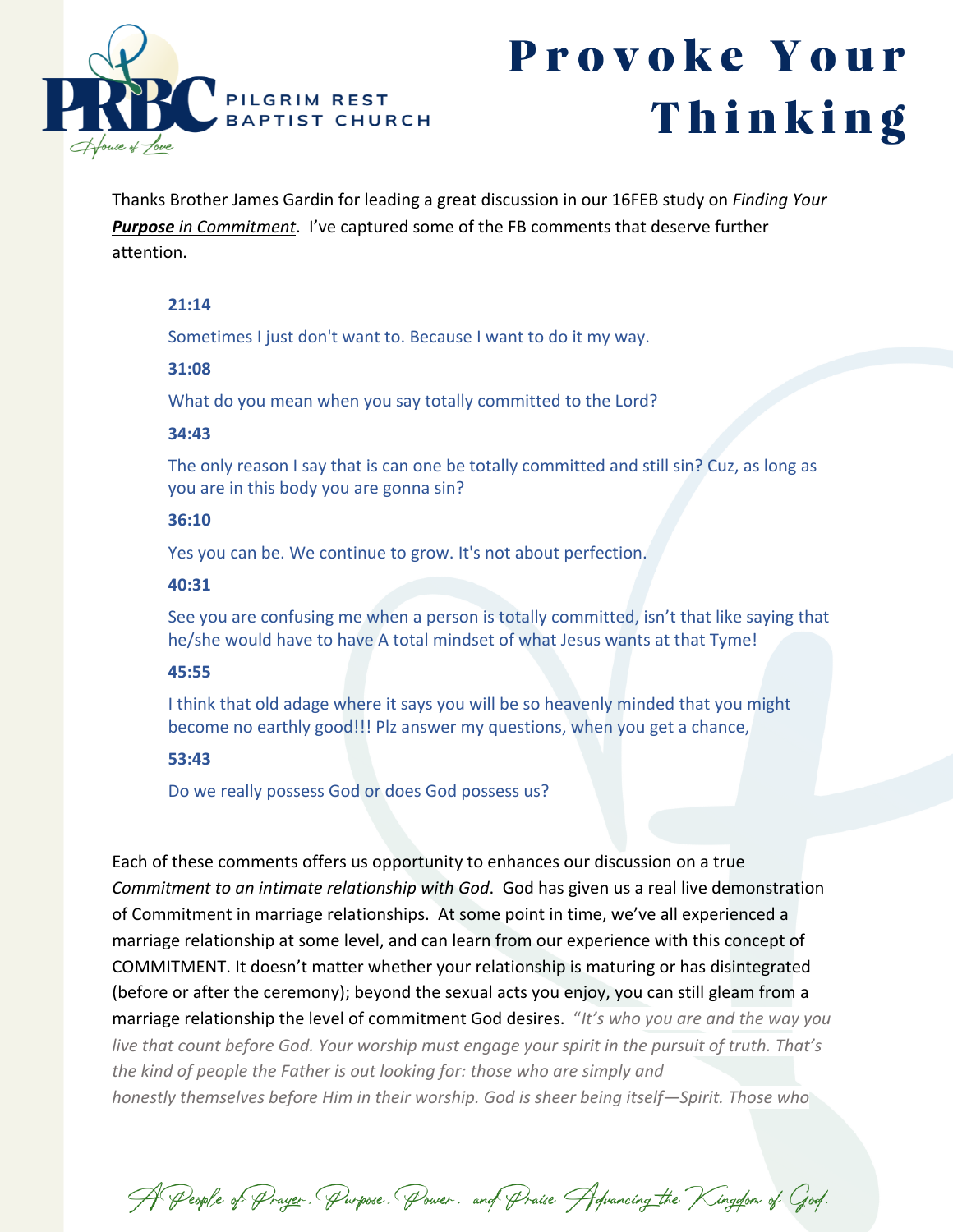

# Provoke Your Thinking

Thanks Brother James Gardin for leading a great discussion in our 16FEB study on *Finding Your Purpose in Commitment*. I've captured some of the FB comments that deserve further attention.

#### **21:14**

Sometimes I just don't want to. Because I want to do it my way.

#### **31:08**

What do you mean when you say totally committed to the Lord?

#### **34:43**

The only reason I say that is can one be totally committed and still sin? Cuz, as long as you are in this body you are gonna sin?

#### **36:10**

Yes you can be. We continue to grow. It's not about perfection.

#### **40:31**

See you are confusing me when a person is totally committed, isn't that like saying that he/she would have to have A total mindset of what Jesus wants at that Tyme!

## **45:55**

I think that old adage where it says you will be so heavenly minded that you might become no earthly good!!! Plz answer my questions, when you get a chance,

## **53:43**

Do we really possess God or does God possess us?

Each of these comments offers us opportunity to enhances our discussion on a true *Commitment to an intimate relationship with God*. God has given us a real live demonstration of Commitment in marriage relationships. At some point in time, we've all experienced a marriage relationship at some level, and can learn from our experience with this concept of COMMITMENT. It doesn't matter whether your relationship is maturing or has disintegrated (before or after the ceremony); beyond the sexual acts you enjoy, you can still gleam from a marriage relationship the level of commitment God desires. "*It's who you are and the way you live that count before God. Your worship must engage your spirit in the pursuit of truth. That's the kind of people the Father is out looking for: those who are simply and honestly themselves before Him in their worship. God is sheer being itself—Spirit. Those who* 

A People of Prayer. Purpose. Power. and Praise Advancing the Kingdom of God.